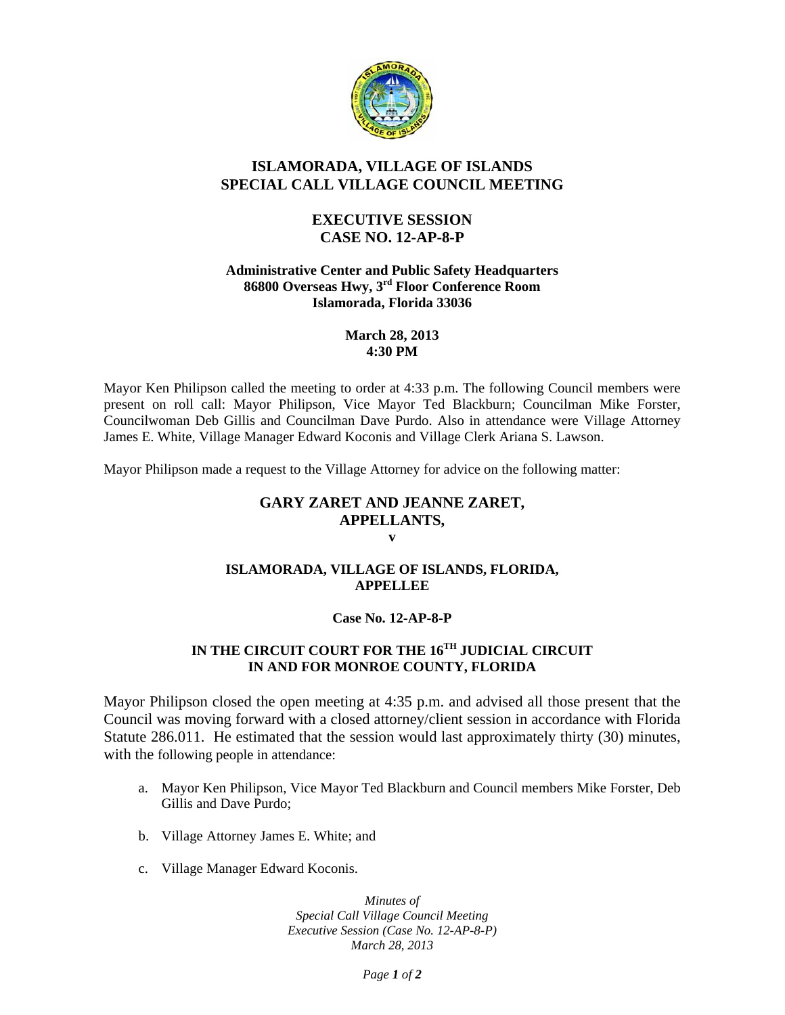

# **ISLAMORADA, VILLAGE OF ISLANDS SPECIAL CALL VILLAGE COUNCIL MEETING**

## **EXECUTIVE SESSION CASE NO. 12-AP-8-P**

### **Administrative Center and Public Safety Headquarters 86800 Overseas Hwy, 3rd Floor Conference Room Islamorada, Florida 33036**

#### **March 28, 2013 4:30 PM**

Mayor Ken Philipson called the meeting to order at 4:33 p.m. The following Council members were present on roll call: Mayor Philipson, Vice Mayor Ted Blackburn; Councilman Mike Forster, Councilwoman Deb Gillis and Councilman Dave Purdo. Also in attendance were Village Attorney James E. White, Village Manager Edward Koconis and Village Clerk Ariana S. Lawson.

Mayor Philipson made a request to the Village Attorney for advice on the following matter:

#### **GARY ZARET AND JEANNE ZARET, APPELLANTS, v**

## **ISLAMORADA, VILLAGE OF ISLANDS, FLORIDA, APPELLEE**

## **Case No. 12-AP-8-P**

## **IN THE CIRCUIT COURT FOR THE 16TH JUDICIAL CIRCUIT IN AND FOR MONROE COUNTY, FLORIDA**

Mayor Philipson closed the open meeting at 4:35 p.m. and advised all those present that the Council was moving forward with a closed attorney/client session in accordance with Florida Statute 286.011. He estimated that the session would last approximately thirty (30) minutes, with the following people in attendance:

- a. Mayor Ken Philipson, Vice Mayor Ted Blackburn and Council members Mike Forster, Deb Gillis and Dave Purdo;
- b. Village Attorney James E. White; and
- c. Village Manager Edward Koconis.

*Minutes of Special Call Village Council Meeting Executive Session (Case No. 12-AP-8-P) March 28, 2013*